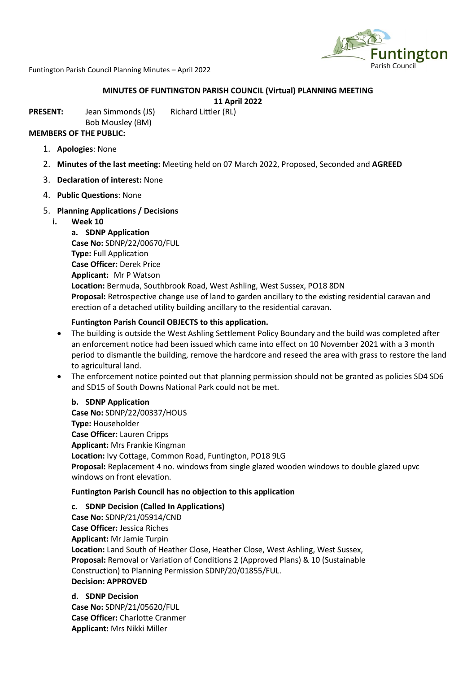

Funtington Parish Council Planning Minutes – April 2022

# **MINUTES OF FUNTINGTON PARISH COUNCIL (Virtual) PLANNING MEETING**

**11 April 2022**

**PRESENT:** Jean Simmonds (JS) Richard Littler (RL)

Bob Mousley (BM) **MEMBERS OF THE PUBLIC:** 

- 1. **Apologies**: None
- 2. **Minutes of the last meeting:** Meeting held on 07 March 2022, Proposed, Seconded and **AGREED**
- 3. **Declaration of interest:** None
- 4. **Public Questions**: None

# 5. **Planning Applications / Decisions**

**i. Week 10**

**a. SDNP Application Case No:** SDNP/22/00670/FUL **Type:** Full Application **Case Officer:** Derek Price **Applicant:** Mr P Watson **Location:** Bermuda, Southbrook Road, West Ashling, West Sussex, PO18 8DN **Proposal:** Retrospective change use of land to garden ancillary to the existing residential caravan and erection of a detached utility building ancillary to the residential caravan.

# **Funtington Parish Council OBJECTS to this application.**

- The building is outside the West Ashling Settlement Policy Boundary and the build was completed after an enforcement notice had been issued which came into effect on 10 November 2021 with a 3 month period to dismantle the building, remove the hardcore and reseed the area with grass to restore the land to agricultural land.
- The enforcement notice pointed out that planning permission should not be granted as policies SD4 SD6 and SD15 of South Downs National Park could not be met.

# **b. SDNP Application**

**Case No:** SDNP/22/00337/HOUS **Type:** Householder **Case Officer:** Lauren Cripps **Applicant:** Mrs Frankie Kingman **Location:** Ivy Cottage, Common Road, Funtington, PO18 9LG **Proposal:** Replacement 4 no. windows from single glazed wooden windows to double glazed upvc windows on front elevation.

# **Funtington Parish Council has no objection to this application**

# **c. SDNP Decision (Called In Applications)**

**Case No:** SDNP/21/05914/CND **Case Officer:** Jessica Riches **Applicant:** Mr Jamie Turpin **Location:** Land South of Heather Close, Heather Close, West Ashling, West Sussex, **Proposal:** Removal or Variation of Conditions 2 (Approved Plans) & 10 (Sustainable Construction) to Planning Permission SDNP/20/01855/FUL. **Decision: APPROVED**

# **d. SDNP Decision**

**Case No:** SDNP/21/05620/FUL **Case Officer:** Charlotte Cranmer **Applicant:** Mrs Nikki Miller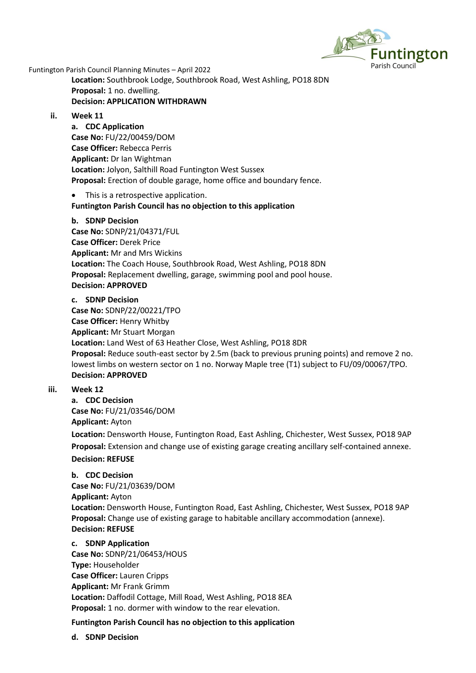

Funtington Parish Council Planning Minutes – April 2022

**Location:** Southbrook Lodge, Southbrook Road, West Ashling, PO18 8DN **Proposal:** 1 no. dwelling. **Decision: APPLICATION WITHDRAWN**

# **ii. Week 11**

**a. CDC Application Case No:** FU/22/00459/DOM **Case Officer:** Rebecca Perris **Applicant:** Dr Ian Wightman **Location:** Jolyon, Salthill Road Funtington West Sussex **Proposal:** Erection of double garage, home office and boundary fence.

• This is a retrospective application.

# **Funtington Parish Council has no objection to this application**

# **b. SDNP Decision**

**Case No:** SDNP/21/04371/FUL **Case Officer:** Derek Price **Applicant:** Mr and Mrs Wickins **Location:** The Coach House, Southbrook Road, West Ashling, PO18 8DN **Proposal:** Replacement dwelling, garage, swimming pool and pool house. **Decision: APPROVED**

# **c. SDNP Decision**

**Case No:** SDNP/22/00221/TPO **Case Officer:** Henry Whitby **Applicant:** Mr Stuart Morgan **Location:** Land West of 63 Heather Close, West Ashling, PO18 8DR **Proposal:** Reduce south-east sector by 2.5m (back to previous pruning points) and remove 2 no. lowest limbs on western sector on 1 no. Norway Maple tree (T1) subject to FU/09/00067/TPO. **Decision: APPROVED**

# **iii. Week 12**

**a. CDC Decision Case No:** FU/21/03546/DOM **Applicant:** Ayton **Location:** Densworth House, Funtington Road, East Ashling, Chichester, West Sussex, PO18 9AP **Proposal:** Extension and change use of existing garage creating ancillary self-contained annexe. **Decision: REFUSE**

# **b. CDC Decision**

**Case No:** FU/21/03639/DOM **Applicant:** Ayton **Location:** Densworth House, Funtington Road, East Ashling, Chichester, West Sussex, PO18 9AP **Proposal:** Change use of existing garage to habitable ancillary accommodation (annexe). **Decision: REFUSE**

# **c. SDNP Application**

**Case No:** SDNP/21/06453/HOUS **Type:** Householder **Case Officer:** Lauren Cripps **Applicant:** Mr Frank Grimm **Location:** Daffodil Cottage, Mill Road, West Ashling, PO18 8EA **Proposal:** 1 no. dormer with window to the rear elevation.

# **Funtington Parish Council has no objection to this application**

**d. SDNP Decision**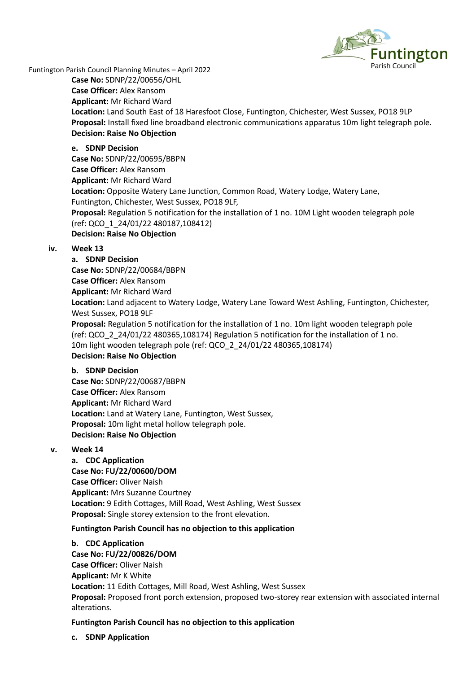

Funtington Parish Council Planning Minutes – April 2022

**Case No:** SDNP/22/00656/OHL

**Case Officer:** Alex Ransom

**Applicant:** Mr Richard Ward **Location:** Land South East of 18 Haresfoot Close, Funtington, Chichester, West Sussex, PO18 9LP **Proposal:** Install fixed line broadband electronic communications apparatus 10m light telegraph pole. **Decision: Raise No Objection**

# **e. SDNP Decision**

**Case No:** SDNP/22/00695/BBPN **Case Officer:** Alex Ransom **Applicant:** Mr Richard Ward **Location:** Opposite Watery Lane Junction, Common Road, Watery Lodge, Watery Lane, Funtington, Chichester, West Sussex, PO18 9LF, **Proposal:** Regulation 5 notification for the installation of 1 no. 10M Light wooden telegraph pole (ref: QCO\_1\_24/01/22 480187,108412) **Decision: Raise No Objection**

# **iv. Week 13**

**a. SDNP Decision Case No:** SDNP/22/00684/BBPN **Case Officer:** Alex Ransom **Applicant:** Mr Richard Ward **Location:** Land adjacent to Watery Lodge, Watery Lane Toward West Ashling, Funtington, Chichester, West Sussex, PO18 9LF **Proposal:** Regulation 5 notification for the installation of 1 no. 10m light wooden telegraph pole (ref: QCO\_2\_24/01/22 480365,108174) Regulation 5 notification for the installation of 1 no. 10m light wooden telegraph pole (ref: QCO\_2\_24/01/22 480365,108174) **Decision: Raise No Objection**

# **b. SDNP Decision**

**Case No:** SDNP/22/00687/BBPN **Case Officer:** Alex Ransom **Applicant:** Mr Richard Ward **Location:** Land at Watery Lane, Funtington, West Sussex, **Proposal:** 10m light metal hollow telegraph pole. **Decision: Raise No Objection**

# **v. Week 14**

**a. CDC Application Case No: FU/22/00600/DOM Case Officer:** Oliver Naish **Applicant:** Mrs Suzanne Courtney **Location:** 9 Edith Cottages, Mill Road, West Ashling, West Sussex **Proposal:** Single storey extension to the front elevation.

# **Funtington Parish Council has no objection to this application**

# **b. CDC Application**

**Case No: FU/22/00826/DOM Case Officer:** Oliver Naish **Applicant:** Mr K White **Location:** 11 Edith Cottages, Mill Road, West Ashling, West Sussex **Proposal:** Proposed front porch extension, proposed two-storey rear extension with associated internal alterations.

# **Funtington Parish Council has no objection to this application**

**c. SDNP Application**